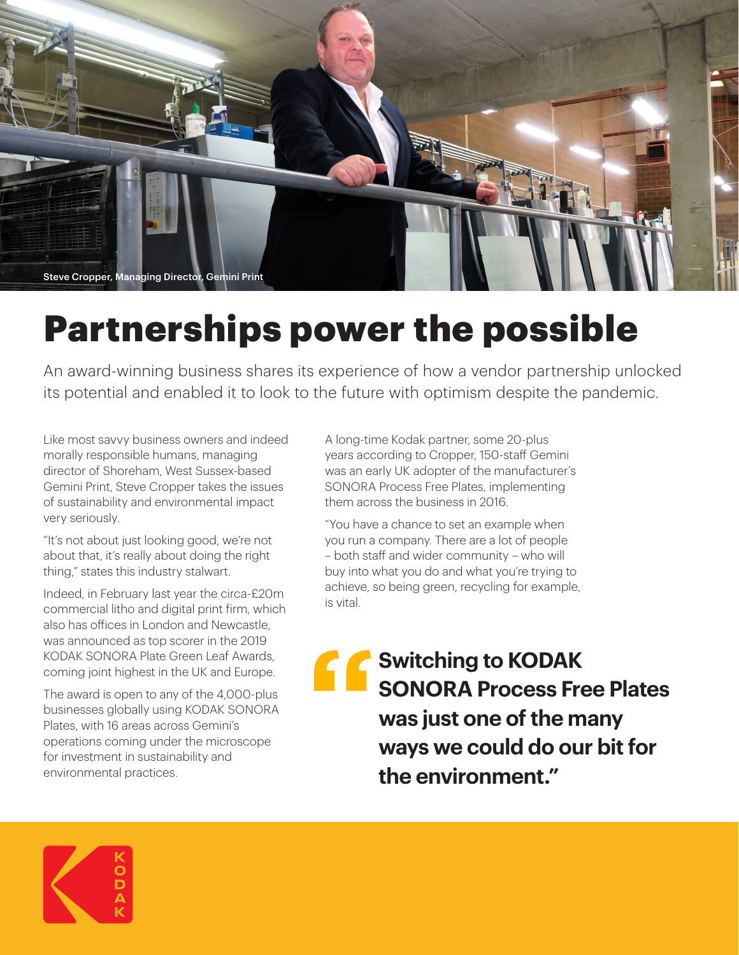

## Partnerships power the possible

An award-winning business shares its experience of how a vendor partnership unlocked its potential and enabled it to look to the future with optimism despite the pandemic.

Like most savvy business owners and indeed morally responsible humans, managing director of Shoreham, West Sussex-based Gemini Print, Steve Cropper takes the issues of sustainability and environmental impact very seriously.

"It's not about just looking good, we're not about that, it's really about doing the right thing," states this industry stalwart.

Indeed, in February last year the circa-£20m commercial litho and digital print firm, which also has offices in London and Newcastle, was announced as top scorer in the 2019 KODAK SONORA Plate Green Leaf Awards, coming joint highest in the UK and Europe.

The award is open to any of the 4,000-plus businesses globally using KODAK SONORA Plates, with 16 areas across Gemini's operations coming under the microscope for investment in sustainability and environmental practices.

A long-time Kodak partner, some 20-plus years according to Cropper, 150-staff Gemini was an early UK adopter of the manufacturer's SONORA Process Free Plates, implementing them across the business in 2016.

"You have a chance to set an example when you run a company. There are a lot of people – both staff and wider community – who will buy into what you do and what you're trying to achieve, so being green, recycling for example, is vital.

**Switching to KODAK SONORA Process Free Plates was just one of the many ways we could do our bit for the environment."**